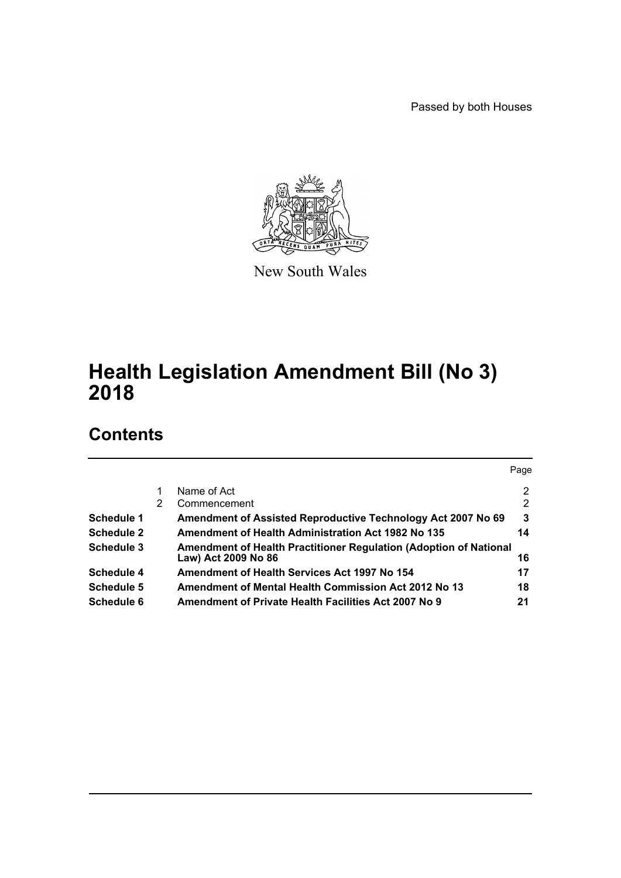Passed by both Houses



New South Wales

# **Health Legislation Amendment Bill (No 3) 2018**

# **Contents**

|                   |   |                                                                                          | Page |
|-------------------|---|------------------------------------------------------------------------------------------|------|
|                   |   | Name of Act                                                                              | 2    |
|                   | 2 | Commencement                                                                             | 2    |
| <b>Schedule 1</b> |   | Amendment of Assisted Reproductive Technology Act 2007 No 69                             | 3    |
| <b>Schedule 2</b> |   | <b>Amendment of Health Administration Act 1982 No 135</b>                                | 14   |
| Schedule 3        |   | Amendment of Health Practitioner Regulation (Adoption of National<br>Law) Act 2009 No 86 | 16   |
| Schedule 4        |   | Amendment of Health Services Act 1997 No 154                                             | 17   |
| Schedule 5        |   | Amendment of Mental Health Commission Act 2012 No 13                                     | 18   |
| Schedule 6        |   | Amendment of Private Health Facilities Act 2007 No 9                                     | 21   |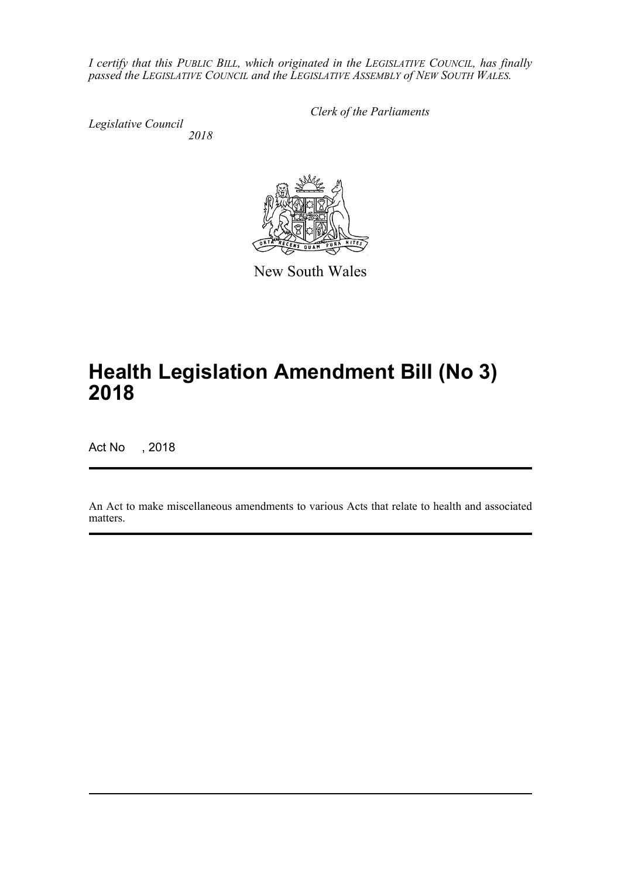*I certify that this PUBLIC BILL, which originated in the LEGISLATIVE COUNCIL, has finally passed the LEGISLATIVE COUNCIL and the LEGISLATIVE ASSEMBLY of NEW SOUTH WALES.*

*Legislative Council 2018* *Clerk of the Parliaments*

New South Wales

# **Health Legislation Amendment Bill (No 3) 2018**

Act No , 2018

An Act to make miscellaneous amendments to various Acts that relate to health and associated matters.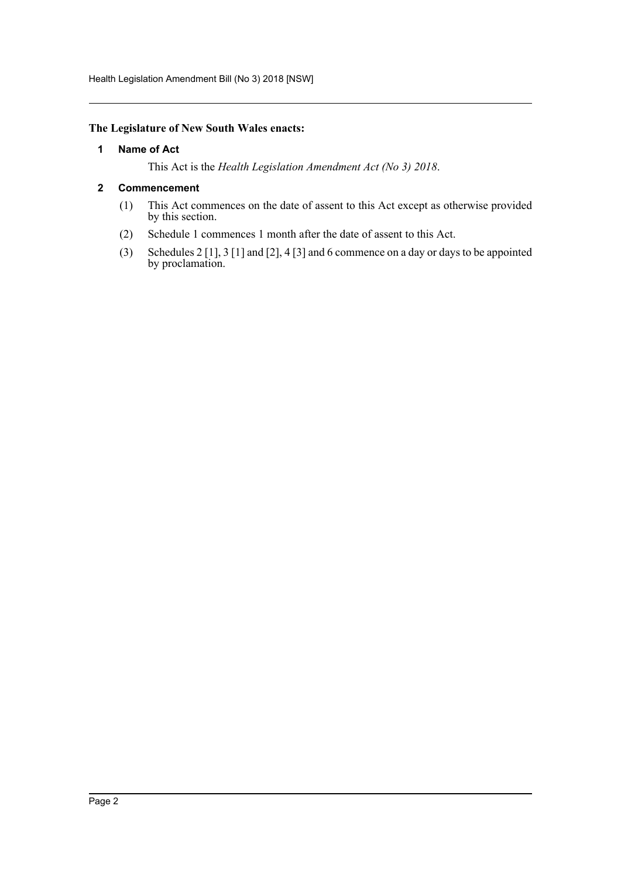Health Legislation Amendment Bill (No 3) 2018 [NSW]

#### <span id="page-2-0"></span>**The Legislature of New South Wales enacts:**

#### **1 Name of Act**

This Act is the *Health Legislation Amendment Act (No 3) 2018*.

#### <span id="page-2-1"></span>**2 Commencement**

- (1) This Act commences on the date of assent to this Act except as otherwise provided by this section.
- (2) Schedule 1 commences 1 month after the date of assent to this Act.
- (3) Schedules 2 [1], 3 [1] and [2], 4 [3] and 6 commence on a day or days to be appointed by proclamation.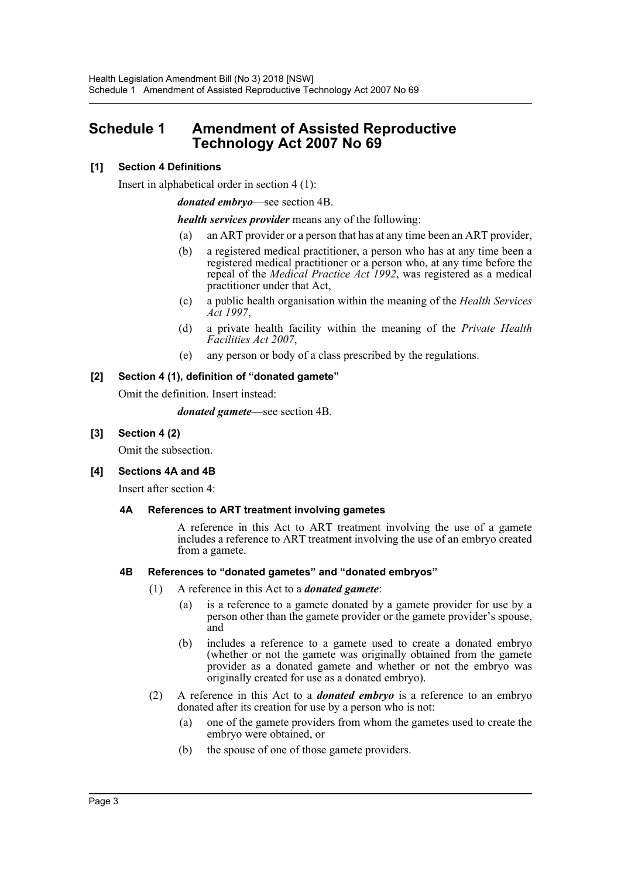# <span id="page-3-0"></span>**Schedule 1 Amendment of Assisted Reproductive Technology Act 2007 No 69**

# **[1] Section 4 Definitions**

Insert in alphabetical order in section 4 (1):

*donated embryo*—see section 4B.

*health services provider* means any of the following:

- (a) an ART provider or a person that has at any time been an ART provider,
- (b) a registered medical practitioner, a person who has at any time been a registered medical practitioner or a person who, at any time before the repeal of the *Medical Practice Act 1992*, was registered as a medical practitioner under that Act,
- (c) a public health organisation within the meaning of the *Health Services Act 1997*,
- (d) a private health facility within the meaning of the *Private Health Facilities Act 2007*,
- (e) any person or body of a class prescribed by the regulations.

# **[2] Section 4 (1), definition of "donated gamete"**

Omit the definition. Insert instead:

*donated gamete*—see section 4B.

**[3] Section 4 (2)**

Omit the subsection.

# **[4] Sections 4A and 4B**

Insert after section 4:

# **4A References to ART treatment involving gametes**

A reference in this Act to ART treatment involving the use of a gamete includes a reference to ART treatment involving the use of an embryo created from a gamete.

#### **4B References to "donated gametes" and "donated embryos"**

- (1) A reference in this Act to a *donated gamete*:
	- (a) is a reference to a gamete donated by a gamete provider for use by a person other than the gamete provider or the gamete provider's spouse, and
	- (b) includes a reference to a gamete used to create a donated embryo (whether or not the gamete was originally obtained from the gamete provider as a donated gamete and whether or not the embryo was originally created for use as a donated embryo).
- (2) A reference in this Act to a *donated embryo* is a reference to an embryo donated after its creation for use by a person who is not:
	- (a) one of the gamete providers from whom the gametes used to create the embryo were obtained, or
	- (b) the spouse of one of those gamete providers.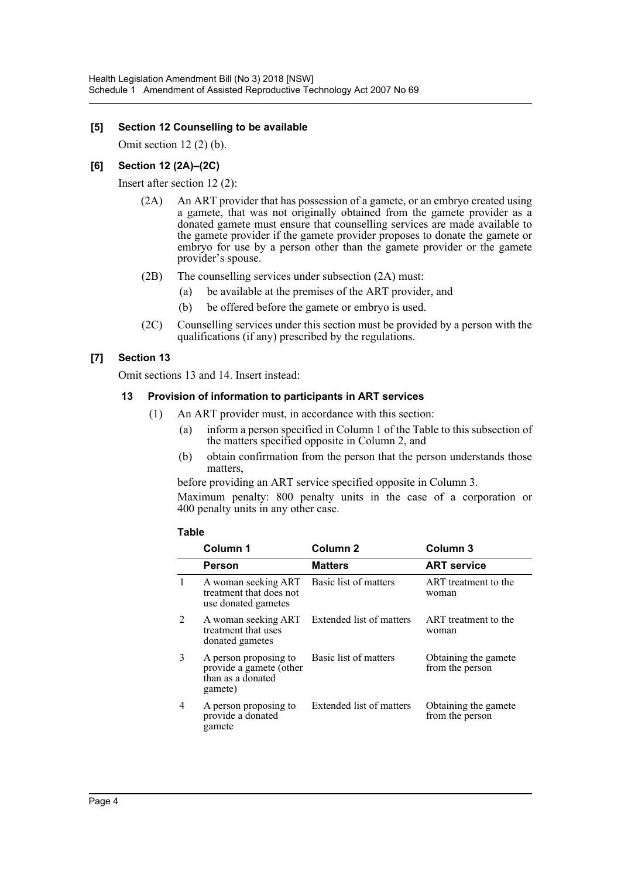#### **[5] Section 12 Counselling to be available**

Omit section 12 (2) (b).

#### **[6] Section 12 (2A)–(2C)**

Insert after section 12 (2):

- (2A) An ART provider that has possession of a gamete, or an embryo created using a gamete, that was not originally obtained from the gamete provider as a donated gamete must ensure that counselling services are made available to the gamete provider if the gamete provider proposes to donate the gamete or embryo for use by a person other than the gamete provider or the gamete provider's spouse.
- (2B) The counselling services under subsection (2A) must:
	- (a) be available at the premises of the ART provider, and
	- (b) be offered before the gamete or embryo is used.
- (2C) Counselling services under this section must be provided by a person with the qualifications (if any) prescribed by the regulations.

# **[7] Section 13**

Omit sections 13 and 14. Insert instead:

#### **13 Provision of information to participants in ART services**

- (1) An ART provider must, in accordance with this section:
	- (a) inform a person specified in Column 1 of the Table to this subsection of the matters specified opposite in Column 2, and
	- (b) obtain confirmation from the person that the person understands those matters,

before providing an ART service specified opposite in Column 3.

Maximum penalty: 800 penalty units in the case of a corporation or 400 penalty units in any other case.

#### **Table**

|   | Column 1                                                                         | Column <sub>2</sub>      | Column <sub>3</sub>                     |
|---|----------------------------------------------------------------------------------|--------------------------|-----------------------------------------|
|   | Person                                                                           | <b>Matters</b>           | <b>ART service</b>                      |
| 1 | A woman seeking ART<br>treatment that does not<br>use donated gametes            | Basic list of matters    | ART treatment to the<br>woman           |
| 2 | A woman seeking ART<br>treatment that uses<br>donated gametes                    | Extended list of matters | ART treatment to the<br>woman           |
| 3 | A person proposing to<br>provide a gamete (other<br>than as a donated<br>gamete) | Basic list of matters    | Obtaining the gamete<br>from the person |
| 4 | A person proposing to<br>provide a donated<br>gamete                             | Extended list of matters | Obtaining the gamete<br>from the person |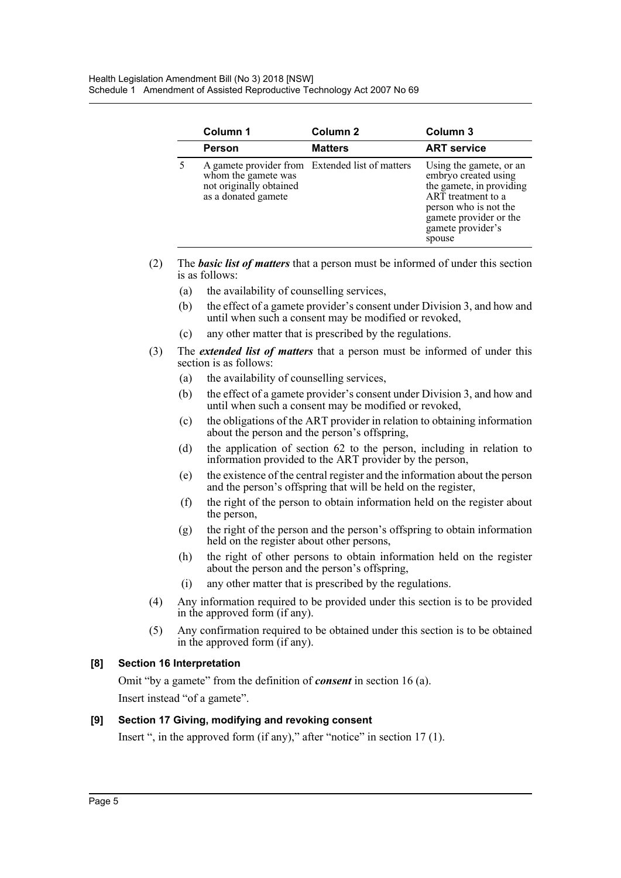| Column 1                                                              | Column <sub>2</sub>                             | Column 3                                                                                                                                                                            |  |
|-----------------------------------------------------------------------|-------------------------------------------------|-------------------------------------------------------------------------------------------------------------------------------------------------------------------------------------|--|
| Person                                                                | <b>Matters</b>                                  | <b>ART service</b>                                                                                                                                                                  |  |
| whom the gamete was<br>not originally obtained<br>as a donated gamete | A gamete provider from Extended list of matters | Using the gamete, or an<br>embryo created using<br>the gamete, in providing<br>ART treatment to a<br>person who is not the<br>gamete provider or the<br>gamete provider's<br>spouse |  |

- (2) The *basic list of matters* that a person must be informed of under this section is as follows:
	- (a) the availability of counselling services,
	- (b) the effect of a gamete provider's consent under Division 3, and how and until when such a consent may be modified or revoked,
	- (c) any other matter that is prescribed by the regulations.
- (3) The *extended list of matters* that a person must be informed of under this section is as follows:
	- (a) the availability of counselling services,
	- (b) the effect of a gamete provider's consent under Division 3, and how and until when such a consent may be modified or revoked,
	- (c) the obligations of the ART provider in relation to obtaining information about the person and the person's offspring,
	- (d) the application of section 62 to the person, including in relation to information provided to the ART provider by the person,
	- (e) the existence of the central register and the information about the person and the person's offspring that will be held on the register,
	- (f) the right of the person to obtain information held on the register about the person,
	- (g) the right of the person and the person's offspring to obtain information held on the register about other persons,
	- (h) the right of other persons to obtain information held on the register about the person and the person's offspring,
	- (i) any other matter that is prescribed by the regulations.
- (4) Any information required to be provided under this section is to be provided in the approved form (if any).
- (5) Any confirmation required to be obtained under this section is to be obtained in the approved form (if any).

# **[8] Section 16 Interpretation**

Omit "by a gamete" from the definition of *consent* in section 16 (a). Insert instead "of a gamete".

# **[9] Section 17 Giving, modifying and revoking consent**

Insert ", in the approved form (if any)," after "notice" in section 17 (1).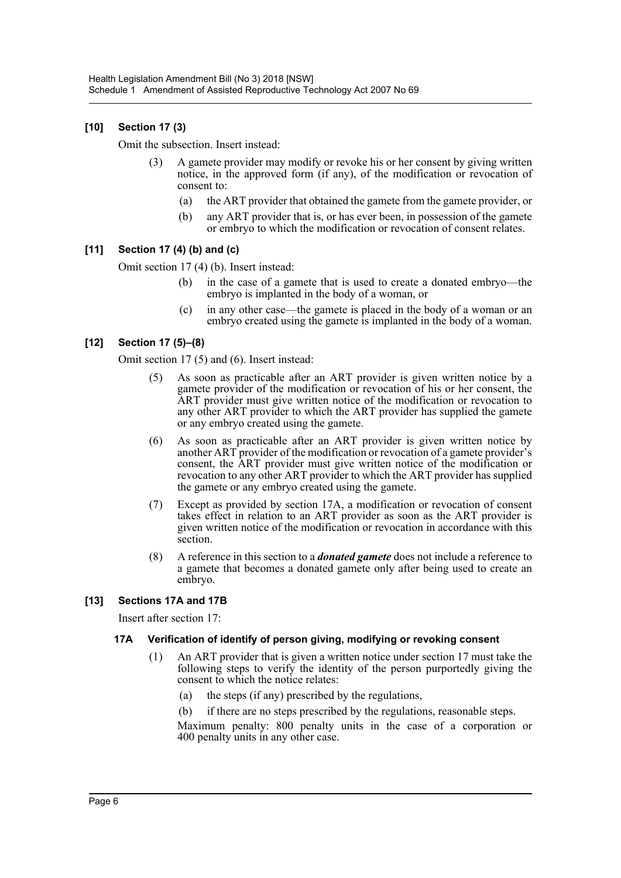# **[10] Section 17 (3)**

Omit the subsection. Insert instead:

- (3) A gamete provider may modify or revoke his or her consent by giving written notice, in the approved form (if any), of the modification or revocation of consent to:
	- (a) the ART provider that obtained the gamete from the gamete provider, or
	- (b) any ART provider that is, or has ever been, in possession of the gamete or embryo to which the modification or revocation of consent relates.

#### **[11] Section 17 (4) (b) and (c)**

Omit section 17 (4) (b). Insert instead:

- (b) in the case of a gamete that is used to create a donated embryo—the embryo is implanted in the body of a woman, or
- (c) in any other case—the gamete is placed in the body of a woman or an embryo created using the gamete is implanted in the body of a woman.

# **[12] Section 17 (5)–(8)**

Omit section 17 (5) and (6). Insert instead:

- (5) As soon as practicable after an ART provider is given written notice by a gamete provider of the modification or revocation of his or her consent, the ART provider must give written notice of the modification or revocation to any other ART provider to which the ART provider has supplied the gamete or any embryo created using the gamete.
- (6) As soon as practicable after an ART provider is given written notice by another ART provider of the modification or revocation of a gamete provider's consent, the ART provider must give written notice of the modification or revocation to any other ART provider to which the ART provider has supplied the gamete or any embryo created using the gamete.
- (7) Except as provided by section 17A, a modification or revocation of consent takes effect in relation to an ART provider as soon as the ART provider is given written notice of the modification or revocation in accordance with this section.
- (8) A reference in this section to a *donated gamete* does not include a reference to a gamete that becomes a donated gamete only after being used to create an embryo.

# **[13] Sections 17A and 17B**

Insert after section 17:

#### **17A Verification of identify of person giving, modifying or revoking consent**

- (1) An ART provider that is given a written notice under section 17 must take the following steps to verify the identity of the person purportedly giving the consent to which the notice relates:
	- (a) the steps (if any) prescribed by the regulations,
	- (b) if there are no steps prescribed by the regulations, reasonable steps.

Maximum penalty: 800 penalty units in the case of a corporation or 400 penalty units in any other case.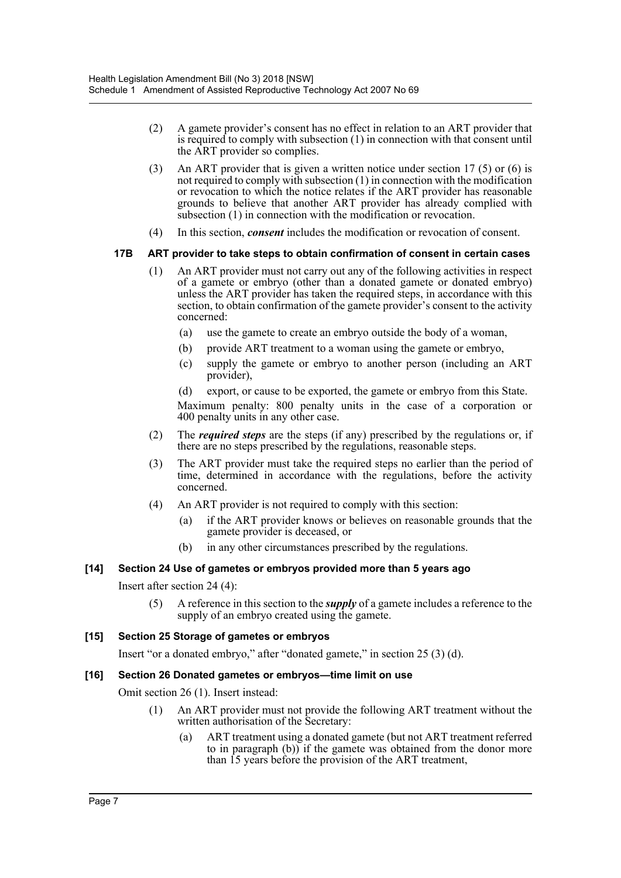- (2) A gamete provider's consent has no effect in relation to an ART provider that is required to comply with subsection (1) in connection with that consent until the ART provider so complies.
- (3) An ART provider that is given a written notice under section 17 (5) or (6) is not required to comply with subsection (1) in connection with the modification or revocation to which the notice relates if the ART provider has reasonable grounds to believe that another ART provider has already complied with subsection (1) in connection with the modification or revocation.
- (4) In this section, *consent* includes the modification or revocation of consent.

# **17B ART provider to take steps to obtain confirmation of consent in certain cases**

- (1) An ART provider must not carry out any of the following activities in respect of a gamete or embryo (other than a donated gamete or donated embryo) unless the ART provider has taken the required steps, in accordance with this section, to obtain confirmation of the gamete provider's consent to the activity concerned:
	- (a) use the gamete to create an embryo outside the body of a woman,
	- (b) provide ART treatment to a woman using the gamete or embryo,
	- (c) supply the gamete or embryo to another person (including an ART provider),

(d) export, or cause to be exported, the gamete or embryo from this State. Maximum penalty: 800 penalty units in the case of a corporation or 400 penalty units in any other case.

- (2) The *required steps* are the steps (if any) prescribed by the regulations or, if there are no steps prescribed by the regulations, reasonable steps.
- (3) The ART provider must take the required steps no earlier than the period of time, determined in accordance with the regulations, before the activity concerned.
- (4) An ART provider is not required to comply with this section:
	- (a) if the ART provider knows or believes on reasonable grounds that the gamete provider is deceased, or
	- (b) in any other circumstances prescribed by the regulations.

# **[14] Section 24 Use of gametes or embryos provided more than 5 years ago**

#### Insert after section 24 (4):

(5) A reference in this section to the *supply* of a gamete includes a reference to the supply of an embryo created using the gamete.

# **[15] Section 25 Storage of gametes or embryos**

Insert "or a donated embryo," after "donated gamete," in section 25 (3) (d).

#### **[16] Section 26 Donated gametes or embryos—time limit on use**

Omit section 26 (1). Insert instead:

- (1) An ART provider must not provide the following ART treatment without the written authorisation of the Secretary:
	- (a) ART treatment using a donated gamete (but not ART treatment referred to in paragraph (b)) if the gamete was obtained from the donor more than 15 years before the provision of the ART treatment,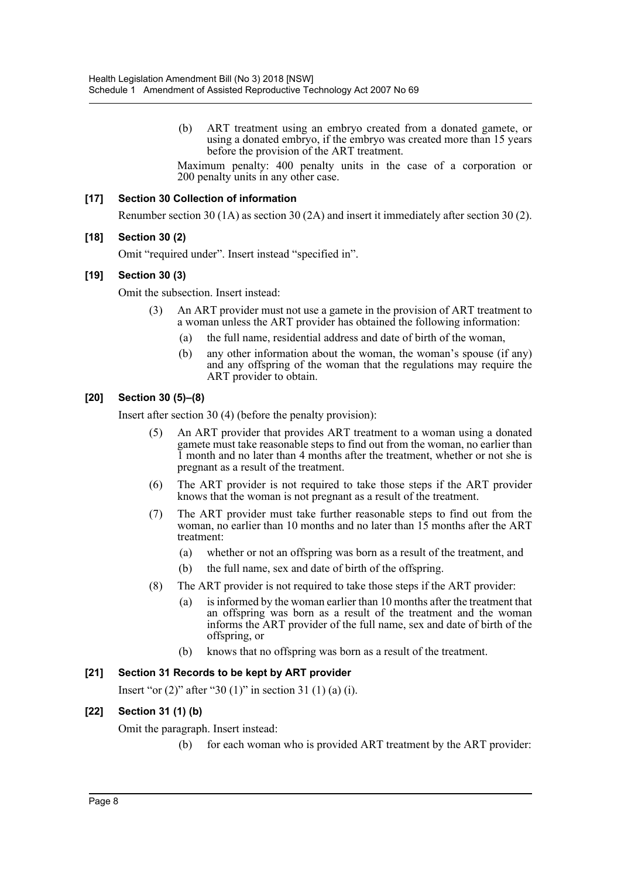(b) ART treatment using an embryo created from a donated gamete, or using a donated embryo, if the embryo was created more than 15 years before the provision of the ART treatment.

Maximum penalty: 400 penalty units in the case of a corporation or 200 penalty units in any other case.

#### **[17] Section 30 Collection of information**

Renumber section 30 (1A) as section 30 (2A) and insert it immediately after section 30 (2).

#### **[18] Section 30 (2)**

Omit "required under". Insert instead "specified in".

#### **[19] Section 30 (3)**

Omit the subsection. Insert instead:

- (3) An ART provider must not use a gamete in the provision of ART treatment to a woman unless the ART provider has obtained the following information:
	- (a) the full name, residential address and date of birth of the woman,
	- (b) any other information about the woman, the woman's spouse (if any) and any offspring of the woman that the regulations may require the ART provider to obtain.

#### **[20] Section 30 (5)–(8)**

Insert after section 30 (4) (before the penalty provision):

- An ART provider that provides ART treatment to a woman using a donated gamete must take reasonable steps to find out from the woman, no earlier than 1 month and no later than 4 months after the treatment, whether or not she is pregnant as a result of the treatment.
- (6) The ART provider is not required to take those steps if the ART provider knows that the woman is not pregnant as a result of the treatment.
- (7) The ART provider must take further reasonable steps to find out from the woman, no earlier than 10 months and no later than 15 months after the ART treatment:
	- (a) whether or not an offspring was born as a result of the treatment, and
	- (b) the full name, sex and date of birth of the offspring.
- (8) The ART provider is not required to take those steps if the ART provider:
	- (a) is informed by the woman earlier than 10 months after the treatment that an offspring was born as a result of the treatment and the woman informs the ART provider of the full name, sex and date of birth of the offspring, or
	- (b) knows that no offspring was born as a result of the treatment.

#### **[21] Section 31 Records to be kept by ART provider**

Insert "or  $(2)$ " after "30  $(1)$ " in section 31  $(1)$   $(a)$   $(i)$ .

#### **[22] Section 31 (1) (b)**

Omit the paragraph. Insert instead:

(b) for each woman who is provided ART treatment by the ART provider: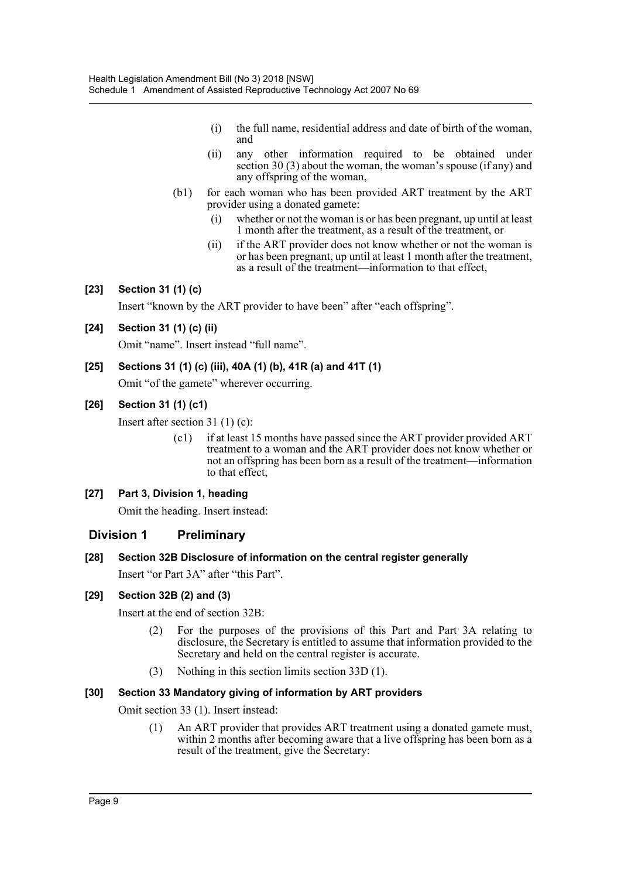- (i) the full name, residential address and date of birth of the woman, and
- (ii) any other information required to be obtained under section 30 (3) about the woman, the woman's spouse (if any) and any offspring of the woman,
- (b1) for each woman who has been provided ART treatment by the ART provider using a donated gamete:
	- (i) whether or not the woman is or has been pregnant, up until at least 1 month after the treatment, as a result of the treatment, or
	- (ii) if the ART provider does not know whether or not the woman is or has been pregnant, up until at least 1 month after the treatment, as a result of the treatment—information to that effect,

# **[23] Section 31 (1) (c)**

Insert "known by the ART provider to have been" after "each offspring".

# **[24] Section 31 (1) (c) (ii)**

Omit "name". Insert instead "full name".

# **[25] Sections 31 (1) (c) (iii), 40A (1) (b), 41R (a) and 41T (1)**

Omit "of the gamete" wherever occurring.

# **[26] Section 31 (1) (c1)**

Insert after section 31 (1) (c):

(c1) if at least 15 months have passed since the ART provider provided ART treatment to a woman and the ART provider does not know whether or not an offspring has been born as a result of the treatment—information to that effect,

# **[27] Part 3, Division 1, heading**

Omit the heading. Insert instead:

# **Division 1 Preliminary**

# **[28] Section 32B Disclosure of information on the central register generally**

Insert "or Part 3A" after "this Part".

# **[29] Section 32B (2) and (3)**

Insert at the end of section 32B:

- (2) For the purposes of the provisions of this Part and Part 3A relating to disclosure, the Secretary is entitled to assume that information provided to the Secretary and held on the central register is accurate.
- (3) Nothing in this section limits section 33D (1).

# **[30] Section 33 Mandatory giving of information by ART providers**

Omit section 33 (1). Insert instead:

(1) An ART provider that provides ART treatment using a donated gamete must, within 2 months after becoming aware that a live offspring has been born as a result of the treatment, give the Secretary: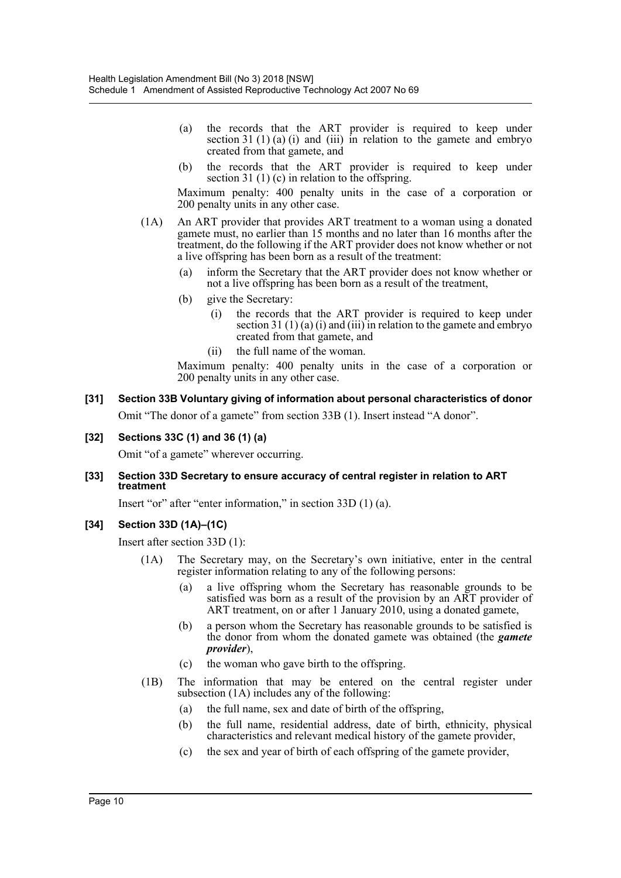- (a) the records that the ART provider is required to keep under section 31 (1) (a) (i) and (iii) in relation to the gamete and embryo created from that gamete, and
- (b) the records that the ART provider is required to keep under section 31 (1) (c) in relation to the offspring.

Maximum penalty: 400 penalty units in the case of a corporation or 200 penalty units in any other case.

- (1A) An ART provider that provides ART treatment to a woman using a donated gamete must, no earlier than 15 months and no later than 16 months after the treatment, do the following if the ART provider does not know whether or not a live offspring has been born as a result of the treatment:
	- (a) inform the Secretary that the ART provider does not know whether or not a live offspring has been born as a result of the treatment,
	- (b) give the Secretary:
		- (i) the records that the ART provider is required to keep under section 31 (1) (a) (i) and (iii) in relation to the gamete and embryo created from that gamete, and
		- (ii) the full name of the woman.

Maximum penalty: 400 penalty units in the case of a corporation or 200 penalty units in any other case.

# **[31] Section 33B Voluntary giving of information about personal characteristics of donor**

Omit "The donor of a gamete" from section 33B (1). Insert instead "A donor".

#### **[32] Sections 33C (1) and 36 (1) (a)**

Omit "of a gamete" wherever occurring.

#### **[33] Section 33D Secretary to ensure accuracy of central register in relation to ART treatment**

Insert "or" after "enter information," in section 33D (1) (a).

#### **[34] Section 33D (1A)–(1C)**

Insert after section 33D (1):

- (1A) The Secretary may, on the Secretary's own initiative, enter in the central register information relating to any of the following persons:
	- (a) a live offspring whom the Secretary has reasonable grounds to be satisfied was born as a result of the provision by an ART provider of ART treatment, on or after 1 January 2010, using a donated gamete,
	- (b) a person whom the Secretary has reasonable grounds to be satisfied is the donor from whom the donated gamete was obtained (the *gamete provider*),
	- (c) the woman who gave birth to the offspring.
- (1B) The information that may be entered on the central register under subsection (1A) includes any of the following:
	- (a) the full name, sex and date of birth of the offspring,
	- (b) the full name, residential address, date of birth, ethnicity, physical characteristics and relevant medical history of the gamete provider,
	- (c) the sex and year of birth of each offspring of the gamete provider,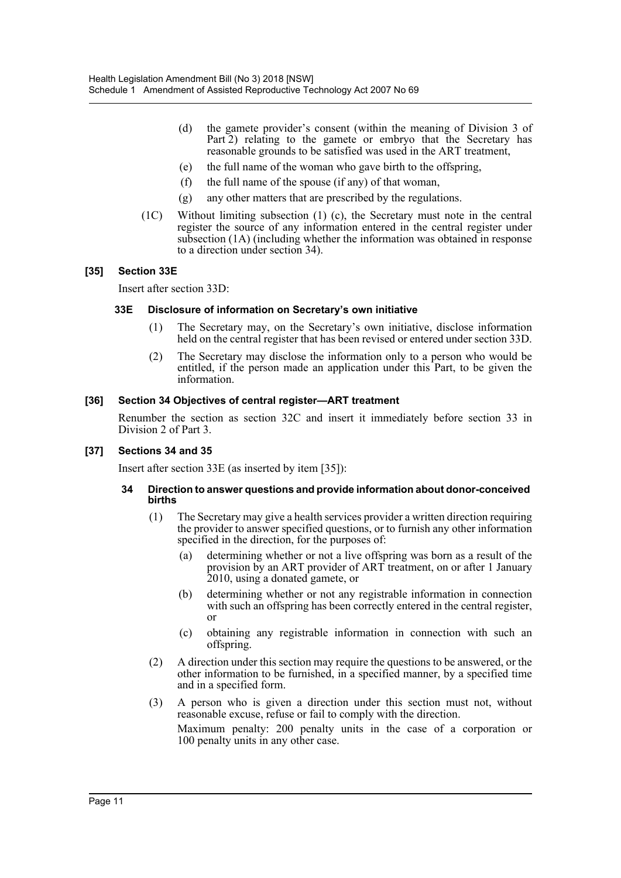- (d) the gamete provider's consent (within the meaning of Division 3 of Part 2) relating to the gamete or embryo that the Secretary has reasonable grounds to be satisfied was used in the ART treatment,
- (e) the full name of the woman who gave birth to the offspring,
- (f) the full name of the spouse (if any) of that woman,
- (g) any other matters that are prescribed by the regulations.
- (1C) Without limiting subsection (1) (c), the Secretary must note in the central register the source of any information entered in the central register under subsection (1A) (including whether the information was obtained in response to a direction under section 34).

#### **[35] Section 33E**

Insert after section 33D:

#### **33E Disclosure of information on Secretary's own initiative**

- (1) The Secretary may, on the Secretary's own initiative, disclose information held on the central register that has been revised or entered under section 33D.
- (2) The Secretary may disclose the information only to a person who would be entitled, if the person made an application under this Part, to be given the information.

#### **[36] Section 34 Objectives of central register—ART treatment**

Renumber the section as section 32C and insert it immediately before section 33 in Division 2 of Part 3.

#### **[37] Sections 34 and 35**

Insert after section 33E (as inserted by item [35]):

#### **34 Direction to answer questions and provide information about donor-conceived births**

- (1) The Secretary may give a health services provider a written direction requiring the provider to answer specified questions, or to furnish any other information specified in the direction, for the purposes of:
	- (a) determining whether or not a live offspring was born as a result of the provision by an ART provider of ART treatment, on or after 1 January 2010, using a donated gamete, or
	- (b) determining whether or not any registrable information in connection with such an offspring has been correctly entered in the central register, or
	- (c) obtaining any registrable information in connection with such an offspring.
- (2) A direction under this section may require the questions to be answered, or the other information to be furnished, in a specified manner, by a specified time and in a specified form.
- (3) A person who is given a direction under this section must not, without reasonable excuse, refuse or fail to comply with the direction. Maximum penalty: 200 penalty units in the case of a corporation or 100 penalty units in any other case.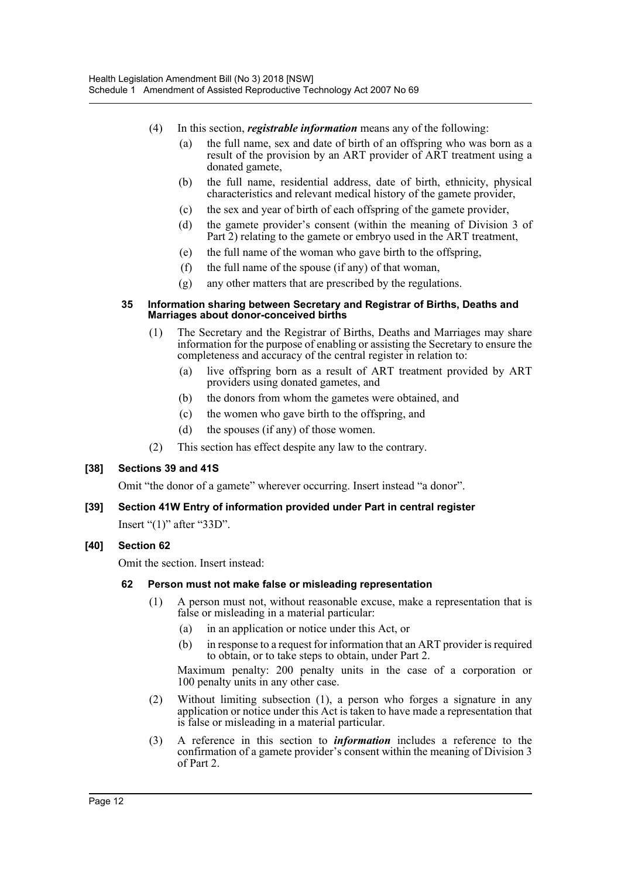- (4) In this section, *registrable information* means any of the following:
	- (a) the full name, sex and date of birth of an offspring who was born as a result of the provision by an ART provider of ART treatment using a donated gamete,
	- (b) the full name, residential address, date of birth, ethnicity, physical characteristics and relevant medical history of the gamete provider,
	- (c) the sex and year of birth of each offspring of the gamete provider,
	- (d) the gamete provider's consent (within the meaning of Division 3 of Part 2) relating to the gamete or embryo used in the ART treatment,
	- (e) the full name of the woman who gave birth to the offspring,
	- (f) the full name of the spouse (if any) of that woman,
	- (g) any other matters that are prescribed by the regulations.

#### **35 Information sharing between Secretary and Registrar of Births, Deaths and Marriages about donor-conceived births**

- (1) The Secretary and the Registrar of Births, Deaths and Marriages may share information for the purpose of enabling or assisting the Secretary to ensure the completeness and accuracy of the central register in relation to:
	- (a) live offspring born as a result of ART treatment provided by ART providers using donated gametes, and
	- (b) the donors from whom the gametes were obtained, and
	- (c) the women who gave birth to the offspring, and
	- (d) the spouses (if any) of those women.
- (2) This section has effect despite any law to the contrary.

# **[38] Sections 39 and 41S**

Omit "the donor of a gamete" wherever occurring. Insert instead "a donor".

# **[39] Section 41W Entry of information provided under Part in central register**

Insert "(1)" after "33D".

# **[40] Section 62**

Omit the section. Insert instead:

#### **62 Person must not make false or misleading representation**

- (1) A person must not, without reasonable excuse, make a representation that is false or misleading in a material particular:
	- (a) in an application or notice under this Act, or
	- (b) in response to a request for information that an ART provider is required to obtain, or to take steps to obtain, under Part 2.

Maximum penalty: 200 penalty units in the case of a corporation or 100 penalty units in any other case.

- (2) Without limiting subsection (1), a person who forges a signature in any application or notice under this Act is taken to have made a representation that is false or misleading in a material particular.
- (3) A reference in this section to *information* includes a reference to the confirmation of a gamete provider's consent within the meaning of Division 3 of Part 2.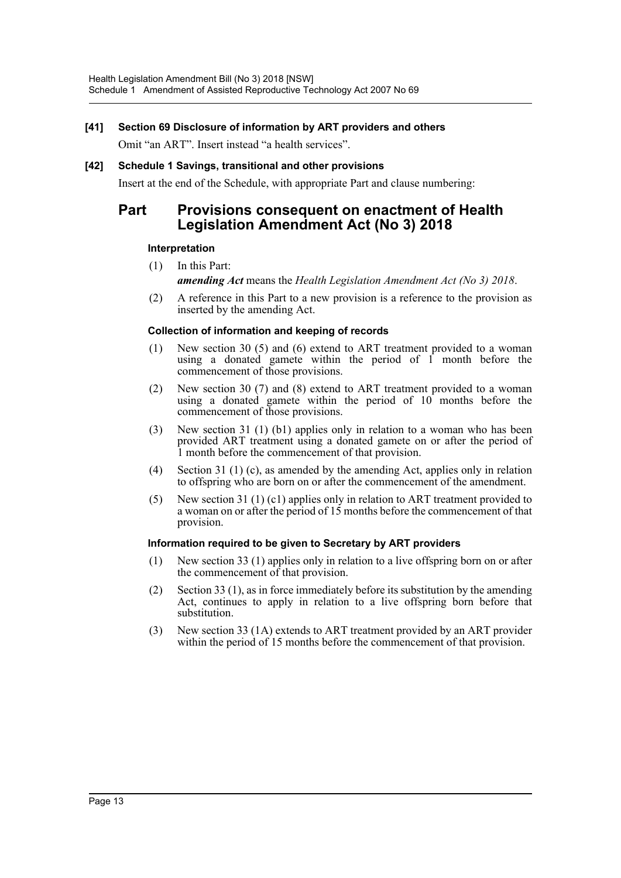#### **[41] Section 69 Disclosure of information by ART providers and others**

Omit "an ART". Insert instead "a health services".

#### **[42] Schedule 1 Savings, transitional and other provisions**

Insert at the end of the Schedule, with appropriate Part and clause numbering:

# **Part Provisions consequent on enactment of Health Legislation Amendment Act (No 3) 2018**

#### **Interpretation**

- (1) In this Part: *amending Act* means the *Health Legislation Amendment Act (No 3) 2018*.
- (2) A reference in this Part to a new provision is a reference to the provision as inserted by the amending Act.

#### **Collection of information and keeping of records**

- (1) New section 30 (5) and (6) extend to ART treatment provided to a woman using a donated gamete within the period of 1 month before the commencement of those provisions.
- (2) New section 30 (7) and (8) extend to ART treatment provided to a woman using a donated gamete within the period of 10 months before the commencement of those provisions.
- (3) New section 31 (1) (b1) applies only in relation to a woman who has been provided ART treatment using a donated gamete on or after the period of 1 month before the commencement of that provision.
- (4) Section 31 (1) (c), as amended by the amending Act, applies only in relation to offspring who are born on or after the commencement of the amendment.
- (5) New section 31 (1) (c1) applies only in relation to ART treatment provided to a woman on or after the period of 15 months before the commencement of that provision.

#### **Information required to be given to Secretary by ART providers**

- (1) New section 33 (1) applies only in relation to a live offspring born on or after the commencement of that provision.
- (2) Section 33 (1), as in force immediately before its substitution by the amending Act, continues to apply in relation to a live offspring born before that substitution.
- (3) New section 33 (1A) extends to ART treatment provided by an ART provider within the period of 15 months before the commencement of that provision.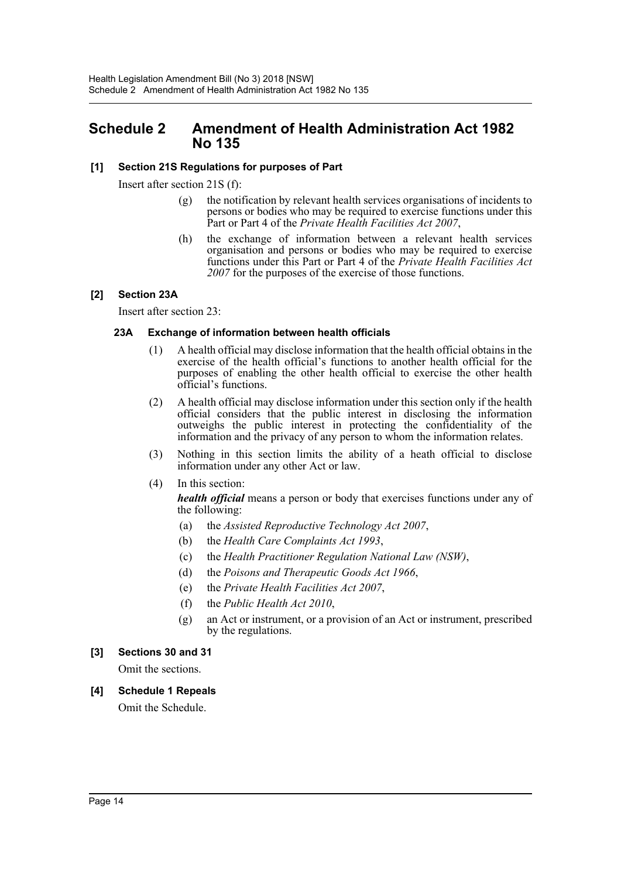# <span id="page-14-0"></span>**Schedule 2 Amendment of Health Administration Act 1982 No 135**

#### **[1] Section 21S Regulations for purposes of Part**

Insert after section 21S (f):

- (g) the notification by relevant health services organisations of incidents to persons or bodies who may be required to exercise functions under this Part or Part 4 of the *Private Health Facilities Act 2007*,
- (h) the exchange of information between a relevant health services organisation and persons or bodies who may be required to exercise functions under this Part or Part 4 of the *Private Health Facilities Act 2007* for the purposes of the exercise of those functions.

#### **[2] Section 23A**

Insert after section 23:

#### **23A Exchange of information between health officials**

- (1) A health official may disclose information that the health official obtains in the exercise of the health official's functions to another health official for the purposes of enabling the other health official to exercise the other health official's functions.
- (2) A health official may disclose information under this section only if the health official considers that the public interest in disclosing the information outweighs the public interest in protecting the confidentiality of the information and the privacy of any person to whom the information relates.
- (3) Nothing in this section limits the ability of a heath official to disclose information under any other Act or law.
- (4) In this section:

*health official* means a person or body that exercises functions under any of the following:

- (a) the *Assisted Reproductive Technology Act 2007*,
- (b) the *Health Care Complaints Act 1993*,
- (c) the *Health Practitioner Regulation National Law (NSW)*,
- (d) the *Poisons and Therapeutic Goods Act 1966*,
- (e) the *Private Health Facilities Act 2007*,
- (f) the *Public Health Act 2010*,
- (g) an Act or instrument, or a provision of an Act or instrument, prescribed by the regulations.

#### **[3] Sections 30 and 31**

Omit the sections.

**[4] Schedule 1 Repeals** Omit the Schedule.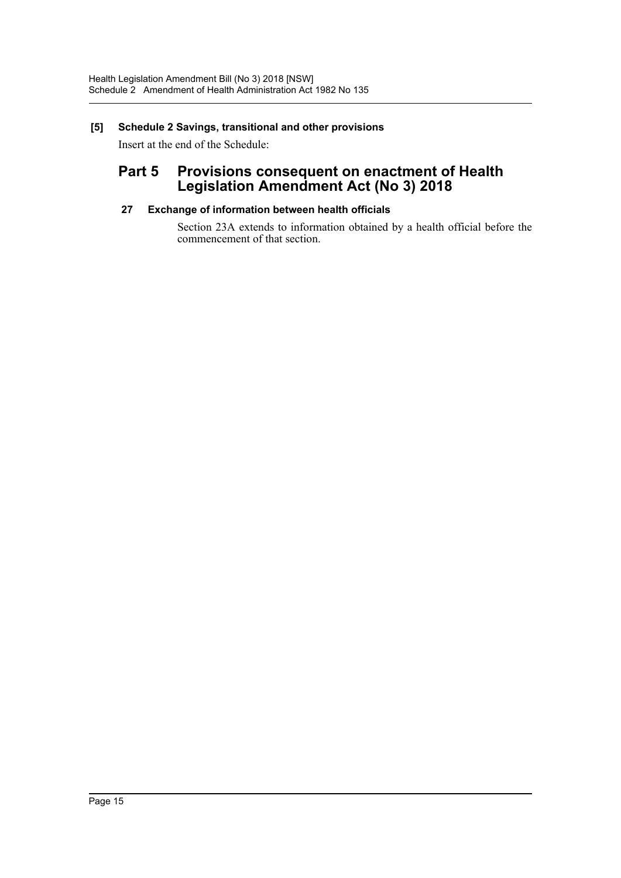# **[5] Schedule 2 Savings, transitional and other provisions**

Insert at the end of the Schedule:

# **Part 5 Provisions consequent on enactment of Health Legislation Amendment Act (No 3) 2018**

# **27 Exchange of information between health officials**

Section 23A extends to information obtained by a health official before the commencement of that section.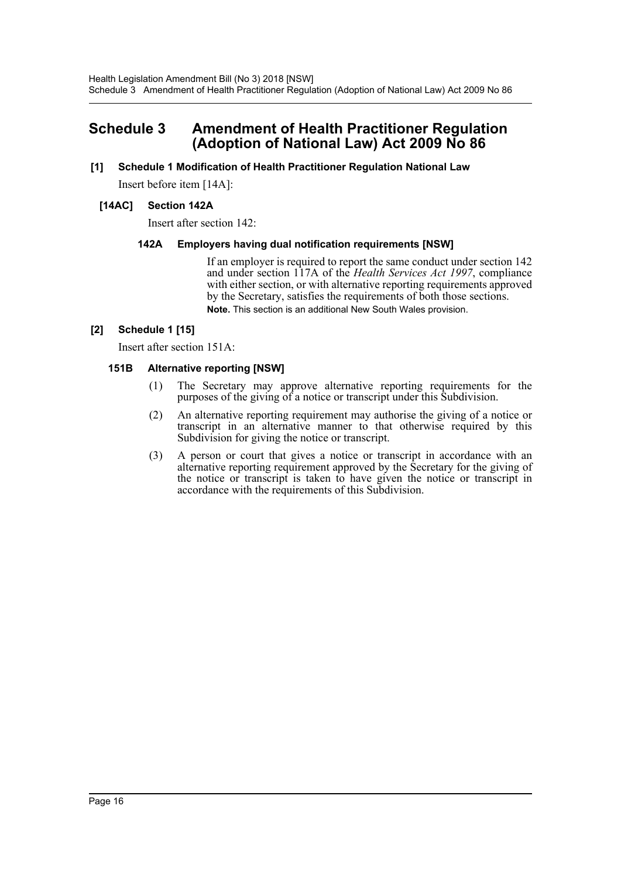# <span id="page-16-0"></span>**Schedule 3 Amendment of Health Practitioner Regulation (Adoption of National Law) Act 2009 No 86**

# **[1] Schedule 1 Modification of Health Practitioner Regulation National Law**

Insert before item [14A]:

#### **[14AC] Section 142A**

Insert after section 142:

#### **142A Employers having dual notification requirements [NSW]**

If an employer is required to report the same conduct under section 142 and under section 117A of the *Health Services Act 1997*, compliance with either section, or with alternative reporting requirements approved by the Secretary, satisfies the requirements of both those sections. **Note.** This section is an additional New South Wales provision.

#### **[2] Schedule 1 [15]**

Insert after section 151A:

#### **151B Alternative reporting [NSW]**

- (1) The Secretary may approve alternative reporting requirements for the purposes of the giving of a notice or transcript under this Subdivision.
- (2) An alternative reporting requirement may authorise the giving of a notice or transcript in an alternative manner to that otherwise required by this Subdivision for giving the notice or transcript.
- (3) A person or court that gives a notice or transcript in accordance with an alternative reporting requirement approved by the Secretary for the giving of the notice or transcript is taken to have given the notice or transcript in accordance with the requirements of this Subdivision.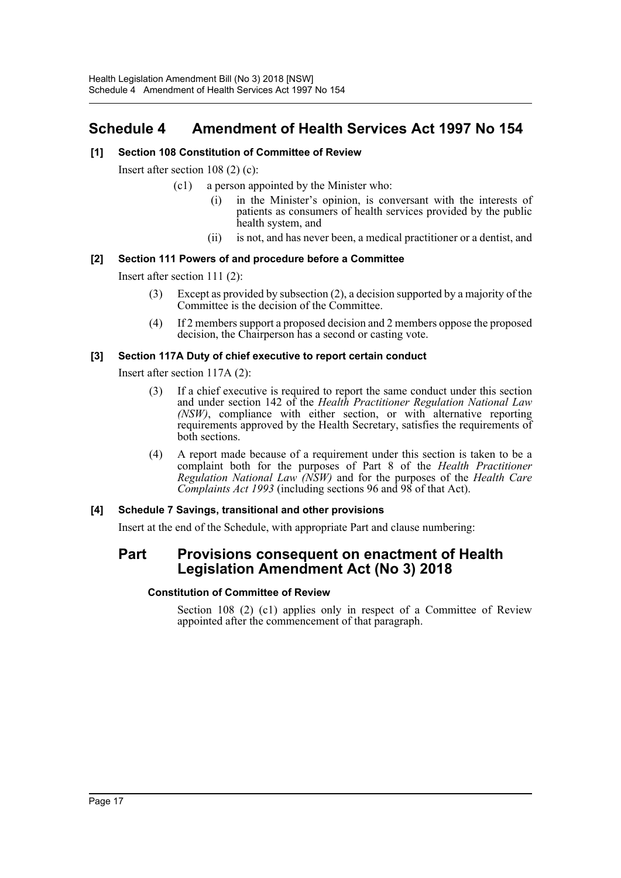# <span id="page-17-0"></span>**Schedule 4 Amendment of Health Services Act 1997 No 154**

# **[1] Section 108 Constitution of Committee of Review**

Insert after section 108 (2) (c):

- (c1) a person appointed by the Minister who:
	- (i) in the Minister's opinion, is conversant with the interests of patients as consumers of health services provided by the public health system, and
	- (ii) is not, and has never been, a medical practitioner or a dentist, and

# **[2] Section 111 Powers of and procedure before a Committee**

Insert after section 111 (2):

- (3) Except as provided by subsection (2), a decision supported by a majority of the Committee is the decision of the Committee.
- (4) If 2 members support a proposed decision and 2 members oppose the proposed decision, the Chairperson has a second or casting vote.

#### **[3] Section 117A Duty of chief executive to report certain conduct**

Insert after section 117A (2):

- (3) If a chief executive is required to report the same conduct under this section and under section 142 of the *Health Practitioner Regulation National Law (NSW)*, compliance with either section, or with alternative reporting requirements approved by the Health Secretary, satisfies the requirements of both sections.
- (4) A report made because of a requirement under this section is taken to be a complaint both for the purposes of Part 8 of the *Health Practitioner Regulation National Law (NSW)* and for the purposes of the *Health Care Complaints Act 1993* (including sections 96 and 98 of that Act).

# **[4] Schedule 7 Savings, transitional and other provisions**

Insert at the end of the Schedule, with appropriate Part and clause numbering:

# **Part Provisions consequent on enactment of Health Legislation Amendment Act (No 3) 2018**

#### **Constitution of Committee of Review**

Section 108 (2) (c1) applies only in respect of a Committee of Review appointed after the commencement of that paragraph.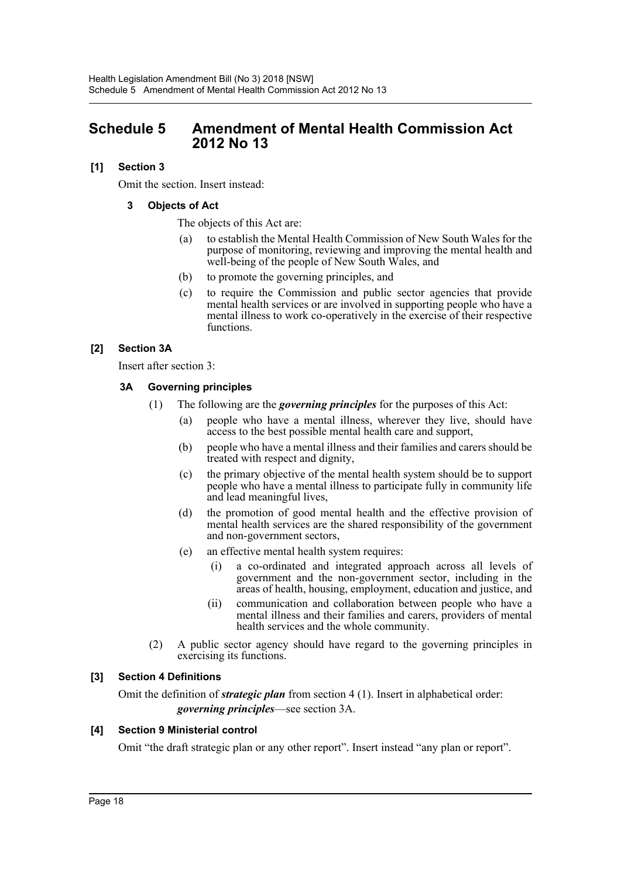# <span id="page-18-0"></span>**Schedule 5 Amendment of Mental Health Commission Act 2012 No 13**

# **[1] Section 3**

Omit the section. Insert instead:

# **3 Objects of Act**

The objects of this Act are:

- (a) to establish the Mental Health Commission of New South Wales for the purpose of monitoring, reviewing and improving the mental health and well-being of the people of New South Wales, and
- (b) to promote the governing principles, and
- (c) to require the Commission and public sector agencies that provide mental health services or are involved in supporting people who have a mental illness to work co-operatively in the exercise of their respective functions.

# **[2] Section 3A**

Insert after section 3:

# **3A Governing principles**

- (1) The following are the *governing principles* for the purposes of this Act:
	- (a) people who have a mental illness, wherever they live, should have access to the best possible mental health care and support,
	- (b) people who have a mental illness and their families and carers should be treated with respect and dignity,
	- (c) the primary objective of the mental health system should be to support people who have a mental illness to participate fully in community life and lead meaningful lives,
	- (d) the promotion of good mental health and the effective provision of mental health services are the shared responsibility of the government and non-government sectors,
	- (e) an effective mental health system requires:
		- (i) a co-ordinated and integrated approach across all levels of government and the non-government sector, including in the areas of health, housing, employment, education and justice, and
		- (ii) communication and collaboration between people who have a mental illness and their families and carers, providers of mental health services and the whole community.
- (2) A public sector agency should have regard to the governing principles in exercising its functions.

# **[3] Section 4 Definitions**

Omit the definition of *strategic plan* from section 4 (1). Insert in alphabetical order: *governing principles*—see section 3A.

# **[4] Section 9 Ministerial control**

Omit "the draft strategic plan or any other report". Insert instead "any plan or report".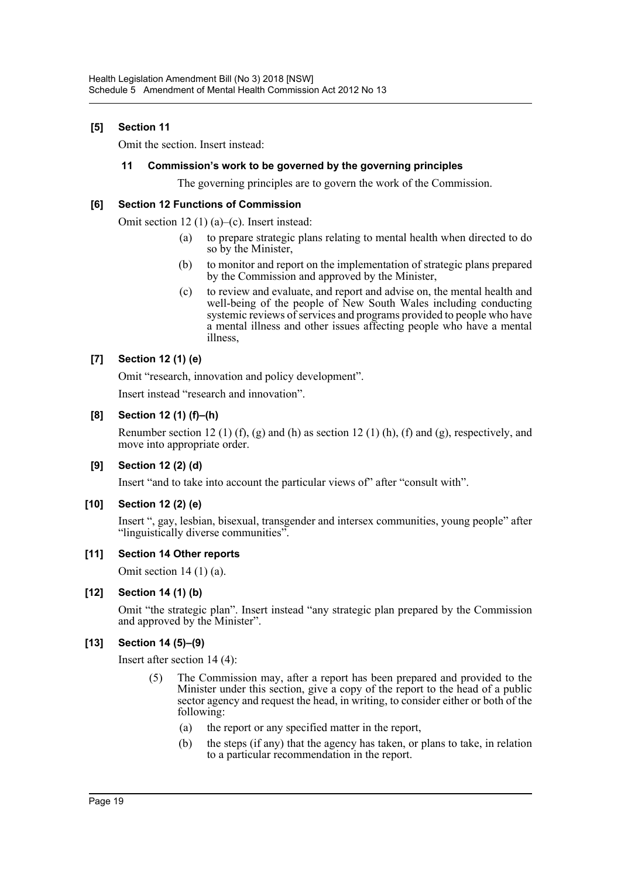# **[5] Section 11**

Omit the section. Insert instead:

#### **11 Commission's work to be governed by the governing principles**

The governing principles are to govern the work of the Commission.

#### **[6] Section 12 Functions of Commission**

Omit section 12 (1) (a)–(c). Insert instead:

- (a) to prepare strategic plans relating to mental health when directed to do so by the Minister,
- (b) to monitor and report on the implementation of strategic plans prepared by the Commission and approved by the Minister,
- (c) to review and evaluate, and report and advise on, the mental health and well-being of the people of New South Wales including conducting systemic reviews of services and programs provided to people who have a mental illness and other issues affecting people who have a mental illness,

# **[7] Section 12 (1) (e)**

Omit "research, innovation and policy development".

Insert instead "research and innovation".

# **[8] Section 12 (1) (f)–(h)**

Renumber section 12 (1) (f), (g) and (h) as section 12 (1) (h), (f) and (g), respectively, and move into appropriate order.

# **[9] Section 12 (2) (d)**

Insert "and to take into account the particular views of" after "consult with".

# **[10] Section 12 (2) (e)**

Insert ", gay, lesbian, bisexual, transgender and intersex communities, young people" after "linguistically diverse communities".

#### **[11] Section 14 Other reports**

Omit section  $14(1)(a)$ .

#### **[12] Section 14 (1) (b)**

Omit "the strategic plan". Insert instead "any strategic plan prepared by the Commission and approved by the Minister".

# **[13] Section 14 (5)–(9)**

Insert after section 14 (4):

- (5) The Commission may, after a report has been prepared and provided to the Minister under this section, give a copy of the report to the head of a public sector agency and request the head, in writing, to consider either or both of the following:
	- (a) the report or any specified matter in the report,
	- (b) the steps (if any) that the agency has taken, or plans to take, in relation to a particular recommendation in the report.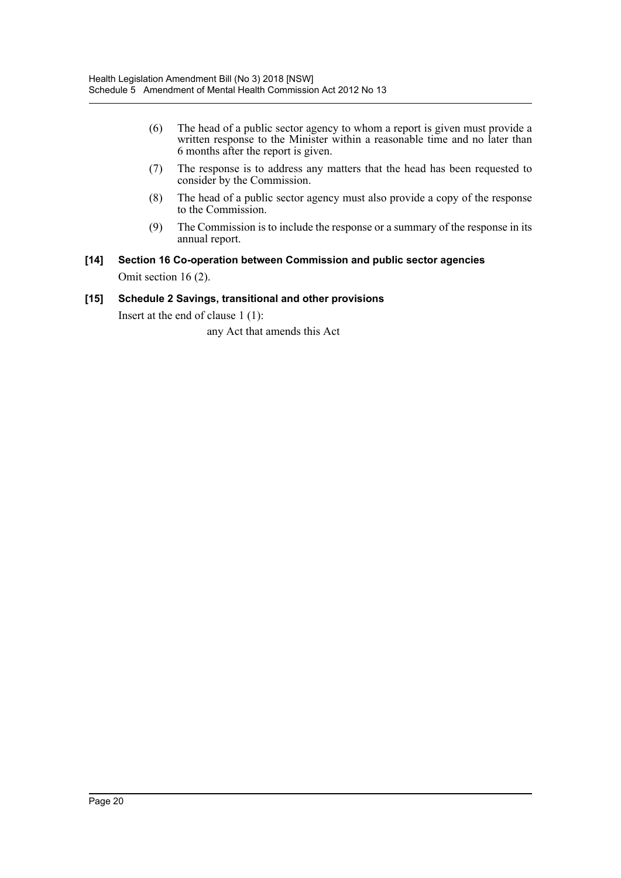- (6) The head of a public sector agency to whom a report is given must provide a written response to the Minister within a reasonable time and no later than 6 months after the report is given.
- (7) The response is to address any matters that the head has been requested to consider by the Commission.
- (8) The head of a public sector agency must also provide a copy of the response to the Commission.
- (9) The Commission is to include the response or a summary of the response in its annual report.
- **[14] Section 16 Co-operation between Commission and public sector agencies** Omit section 16 (2).

#### **[15] Schedule 2 Savings, transitional and other provisions**

Insert at the end of clause 1 (1):

any Act that amends this Act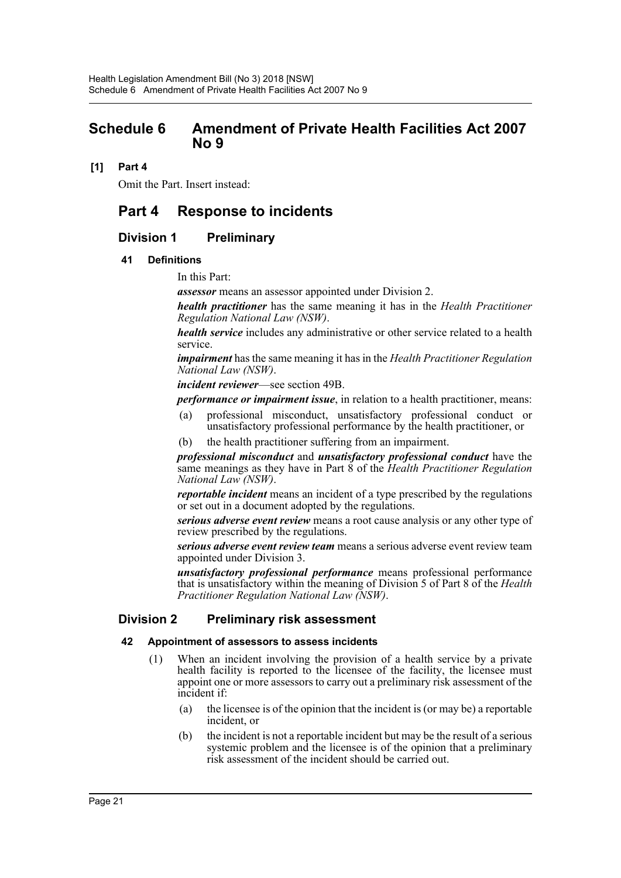# <span id="page-21-0"></span>**Schedule 6 Amendment of Private Health Facilities Act 2007 No 9**

# **[1] Part 4**

Omit the Part. Insert instead:

# **Part 4 Response to incidents**

# **Division 1 Preliminary**

#### **41 Definitions**

In this Part:

*assessor* means an assessor appointed under Division 2.

*health practitioner* has the same meaning it has in the *Health Practitioner Regulation National Law (NSW)*.

*health service* includes any administrative or other service related to a health service.

*impairment* has the same meaning it has in the *Health Practitioner Regulation National Law (NSW)*.

*incident reviewer*—see section 49B.

*performance or impairment issue*, in relation to a health practitioner, means:

- (a) professional misconduct, unsatisfactory professional conduct or unsatisfactory professional performance by the health practitioner, or
- (b) the health practitioner suffering from an impairment.

*professional misconduct* and *unsatisfactory professional conduct* have the same meanings as they have in Part  $\dot{8}$  of the *Health Practitioner Regulation National Law (NSW)*.

*reportable incident* means an incident of a type prescribed by the regulations or set out in a document adopted by the regulations.

*serious adverse event review* means a root cause analysis or any other type of review prescribed by the regulations.

*serious adverse event review team* means a serious adverse event review team appointed under Division 3.

*unsatisfactory professional performance* means professional performance that is unsatisfactory within the meaning of Division 5 of Part 8 of the *Health Practitioner Regulation National Law (NSW)*.

# **Division 2 Preliminary risk assessment**

#### **42 Appointment of assessors to assess incidents**

- (1) When an incident involving the provision of a health service by a private health facility is reported to the licensee of the facility, the licensee must appoint one or more assessors to carry out a preliminary risk assessment of the incident if:
	- (a) the licensee is of the opinion that the incident is (or may be) a reportable incident, or
	- (b) the incident is not a reportable incident but may be the result of a serious systemic problem and the licensee is of the opinion that a preliminary risk assessment of the incident should be carried out.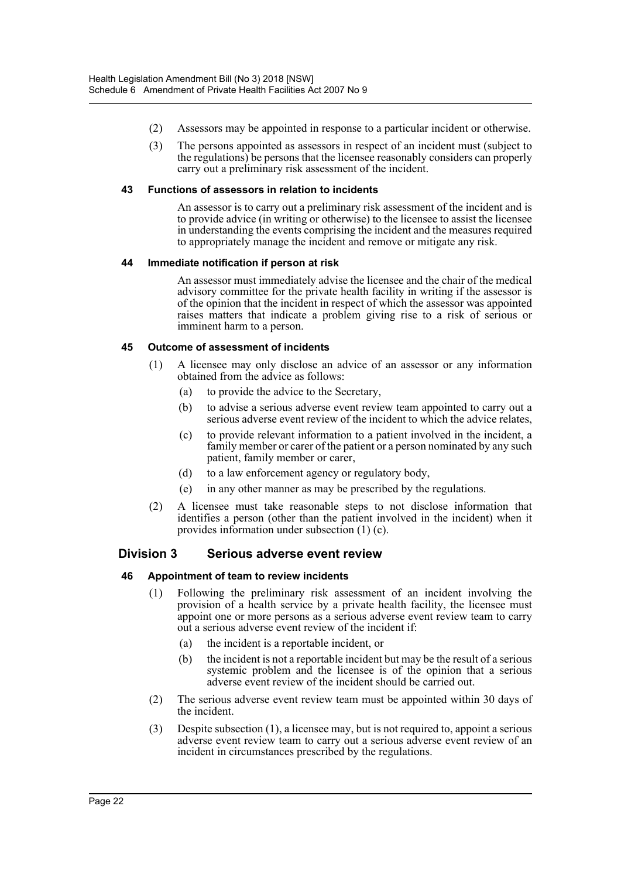- (2) Assessors may be appointed in response to a particular incident or otherwise.
- (3) The persons appointed as assessors in respect of an incident must (subject to the regulations) be persons that the licensee reasonably considers can properly carry out a preliminary risk assessment of the incident.

#### **43 Functions of assessors in relation to incidents**

An assessor is to carry out a preliminary risk assessment of the incident and is to provide advice (in writing or otherwise) to the licensee to assist the licensee in understanding the events comprising the incident and the measures required to appropriately manage the incident and remove or mitigate any risk.

#### **44 Immediate notification if person at risk**

An assessor must immediately advise the licensee and the chair of the medical advisory committee for the private health facility in writing if the assessor is of the opinion that the incident in respect of which the assessor was appointed raises matters that indicate a problem giving rise to a risk of serious or imminent harm to a person.

#### **45 Outcome of assessment of incidents**

- (1) A licensee may only disclose an advice of an assessor or any information obtained from the advice as follows:
	- (a) to provide the advice to the Secretary,
	- (b) to advise a serious adverse event review team appointed to carry out a serious adverse event review of the incident to which the advice relates,
	- (c) to provide relevant information to a patient involved in the incident, a family member or carer of the patient or a person nominated by any such patient, family member or carer,
	- (d) to a law enforcement agency or regulatory body,
	- (e) in any other manner as may be prescribed by the regulations.
- (2) A licensee must take reasonable steps to not disclose information that identifies a person (other than the patient involved in the incident) when it provides information under subsection (1) (c).

# **Division 3 Serious adverse event review**

#### **46 Appointment of team to review incidents**

- (1) Following the preliminary risk assessment of an incident involving the provision of a health service by a private health facility, the licensee must appoint one or more persons as a serious adverse event review team to carry out a serious adverse event review of the incident if:
	- (a) the incident is a reportable incident, or
	- (b) the incident is not a reportable incident but may be the result of a serious systemic problem and the licensee is of the opinion that a serious adverse event review of the incident should be carried out.
- (2) The serious adverse event review team must be appointed within 30 days of the incident.
- (3) Despite subsection (1), a licensee may, but is not required to, appoint a serious adverse event review team to carry out a serious adverse event review of an incident in circumstances prescribed by the regulations.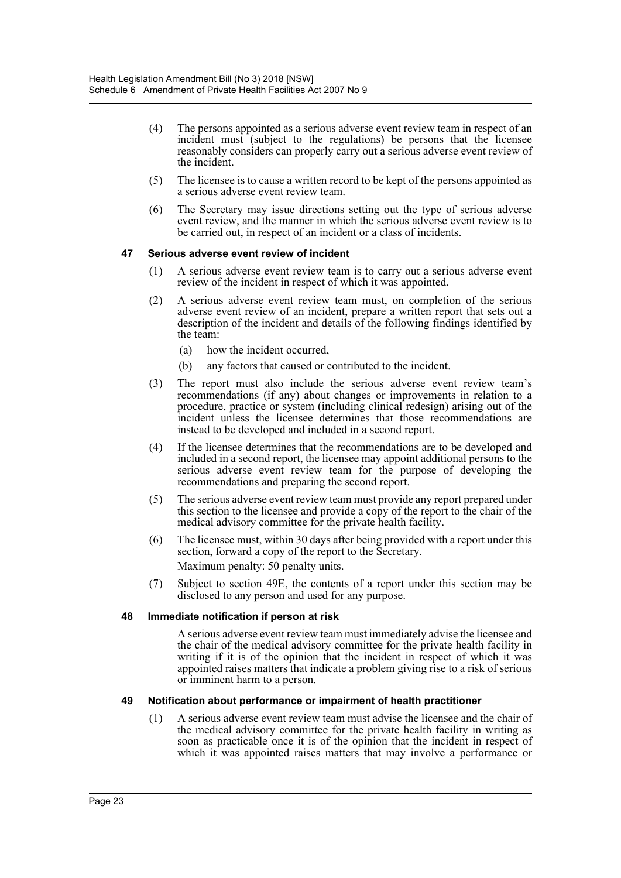- (4) The persons appointed as a serious adverse event review team in respect of an incident must (subject to the regulations) be persons that the licensee reasonably considers can properly carry out a serious adverse event review of the incident.
- (5) The licensee is to cause a written record to be kept of the persons appointed as a serious adverse event review team.
- (6) The Secretary may issue directions setting out the type of serious adverse event review, and the manner in which the serious adverse event review is to be carried out, in respect of an incident or a class of incidents.

#### **47 Serious adverse event review of incident**

- (1) A serious adverse event review team is to carry out a serious adverse event review of the incident in respect of which it was appointed.
- (2) A serious adverse event review team must, on completion of the serious adverse event review of an incident, prepare a written report that sets out a description of the incident and details of the following findings identified by the team:
	- (a) how the incident occurred,
	- (b) any factors that caused or contributed to the incident.
- (3) The report must also include the serious adverse event review team's recommendations (if any) about changes or improvements in relation to a procedure, practice or system (including clinical redesign) arising out of the incident unless the licensee determines that those recommendations are instead to be developed and included in a second report.
- (4) If the licensee determines that the recommendations are to be developed and included in a second report, the licensee may appoint additional persons to the serious adverse event review team for the purpose of developing the recommendations and preparing the second report.
- (5) The serious adverse event review team must provide any report prepared under this section to the licensee and provide a copy of the report to the chair of the medical advisory committee for the private health facility.
- (6) The licensee must, within 30 days after being provided with a report under this section, forward a copy of the report to the Secretary. Maximum penalty: 50 penalty units.
- (7) Subject to section 49E, the contents of a report under this section may be disclosed to any person and used for any purpose.

#### **48 Immediate notification if person at risk**

A serious adverse event review team must immediately advise the licensee and the chair of the medical advisory committee for the private health facility in writing if it is of the opinion that the incident in respect of which it was appointed raises matters that indicate a problem giving rise to a risk of serious or imminent harm to a person.

#### **49 Notification about performance or impairment of health practitioner**

(1) A serious adverse event review team must advise the licensee and the chair of the medical advisory committee for the private health facility in writing as soon as practicable once it is of the opinion that the incident in respect of which it was appointed raises matters that may involve a performance or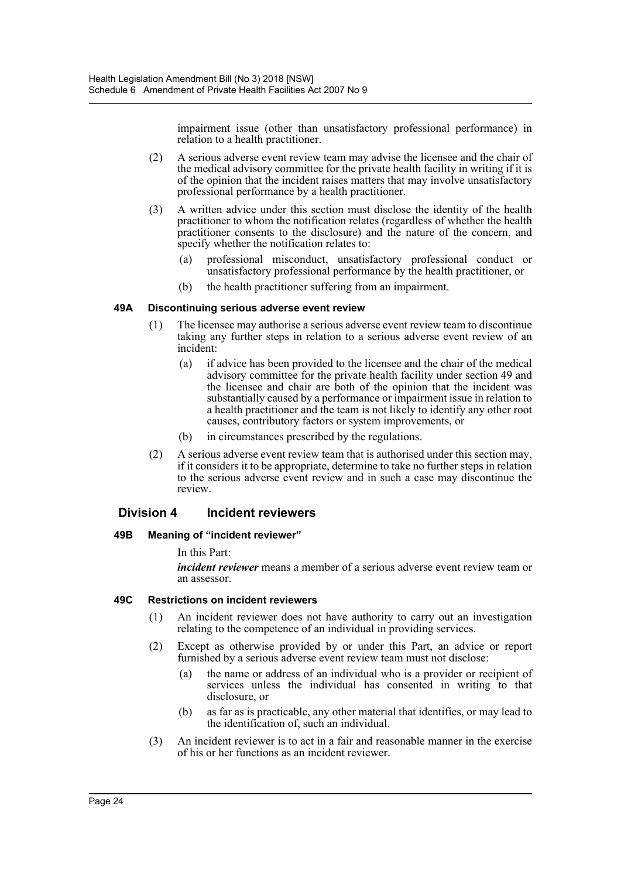impairment issue (other than unsatisfactory professional performance) in relation to a health practitioner.

- (2) A serious adverse event review team may advise the licensee and the chair of the medical advisory committee for the private health facility in writing if it is of the opinion that the incident raises matters that may involve unsatisfactory professional performance by a health practitioner.
- (3) A written advice under this section must disclose the identity of the health practitioner to whom the notification relates (regardless of whether the health practitioner consents to the disclosure) and the nature of the concern, and specify whether the notification relates to:
	- (a) professional misconduct, unsatisfactory professional conduct or unsatisfactory professional performance by the health practitioner, or
	- (b) the health practitioner suffering from an impairment.

#### **49A Discontinuing serious adverse event review**

- (1) The licensee may authorise a serious adverse event review team to discontinue taking any further steps in relation to a serious adverse event review of an incident:
	- (a) if advice has been provided to the licensee and the chair of the medical advisory committee for the private health facility under section 49 and the licensee and chair are both of the opinion that the incident was substantially caused by a performance or impairment issue in relation to a health practitioner and the team is not likely to identify any other root causes, contributory factors or system improvements, or
	- (b) in circumstances prescribed by the regulations.
- (2) A serious adverse event review team that is authorised under this section may, if it considers it to be appropriate, determine to take no further steps in relation to the serious adverse event review and in such a case may discontinue the review.

#### **Division 4 Incident reviewers**

#### **49B Meaning of "incident reviewer"**

In this Part:

*incident reviewer* means a member of a serious adverse event review team or an assessor.

#### **49C Restrictions on incident reviewers**

- (1) An incident reviewer does not have authority to carry out an investigation relating to the competence of an individual in providing services.
- (2) Except as otherwise provided by or under this Part, an advice or report furnished by a serious adverse event review team must not disclose:
	- (a) the name or address of an individual who is a provider or recipient of services unless the individual has consented in writing to that disclosure, or
	- (b) as far as is practicable, any other material that identifies, or may lead to the identification of, such an individual.
- (3) An incident reviewer is to act in a fair and reasonable manner in the exercise of his or her functions as an incident reviewer.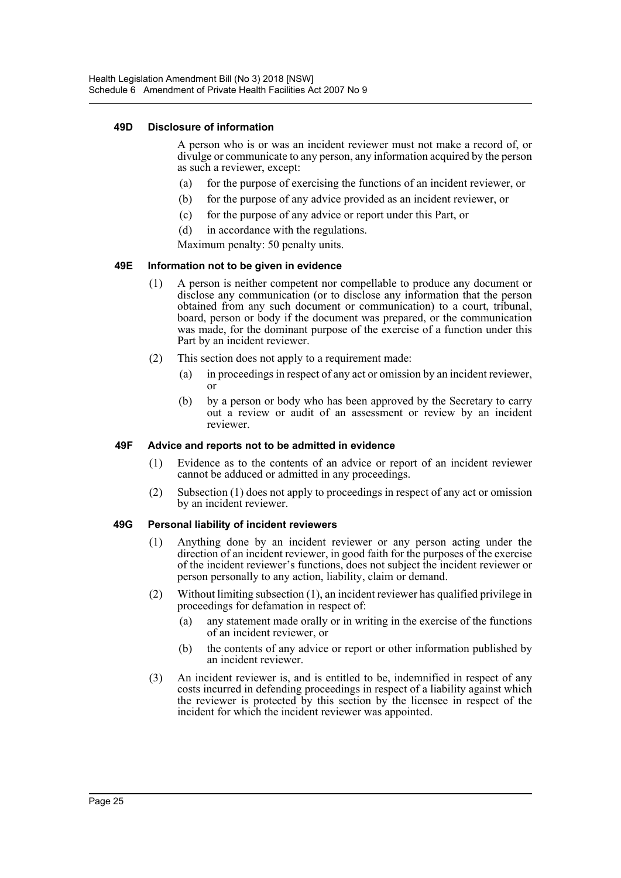#### **49D Disclosure of information**

A person who is or was an incident reviewer must not make a record of, or divulge or communicate to any person, any information acquired by the person as such a reviewer, except:

- (a) for the purpose of exercising the functions of an incident reviewer, or
- (b) for the purpose of any advice provided as an incident reviewer, or
- (c) for the purpose of any advice or report under this Part, or
- (d) in accordance with the regulations.

Maximum penalty: 50 penalty units.

#### **49E Information not to be given in evidence**

- (1) A person is neither competent nor compellable to produce any document or disclose any communication (or to disclose any information that the person obtained from any such document or communication) to a court, tribunal, board, person or body if the document was prepared, or the communication was made, for the dominant purpose of the exercise of a function under this Part by an incident reviewer.
- (2) This section does not apply to a requirement made:
	- (a) in proceedings in respect of any act or omission by an incident reviewer, or
	- (b) by a person or body who has been approved by the Secretary to carry out a review or audit of an assessment or review by an incident reviewer.

#### **49F Advice and reports not to be admitted in evidence**

- (1) Evidence as to the contents of an advice or report of an incident reviewer cannot be adduced or admitted in any proceedings.
- (2) Subsection (1) does not apply to proceedings in respect of any act or omission by an incident reviewer.

#### **49G Personal liability of incident reviewers**

- (1) Anything done by an incident reviewer or any person acting under the direction of an incident reviewer, in good faith for the purposes of the exercise of the incident reviewer's functions, does not subject the incident reviewer or person personally to any action, liability, claim or demand.
- (2) Without limiting subsection (1), an incident reviewer has qualified privilege in proceedings for defamation in respect of:
	- (a) any statement made orally or in writing in the exercise of the functions of an incident reviewer, or
	- (b) the contents of any advice or report or other information published by an incident reviewer.
- (3) An incident reviewer is, and is entitled to be, indemnified in respect of any costs incurred in defending proceedings in respect of a liability against which the reviewer is protected by this section by the licensee in respect of the incident for which the incident reviewer was appointed.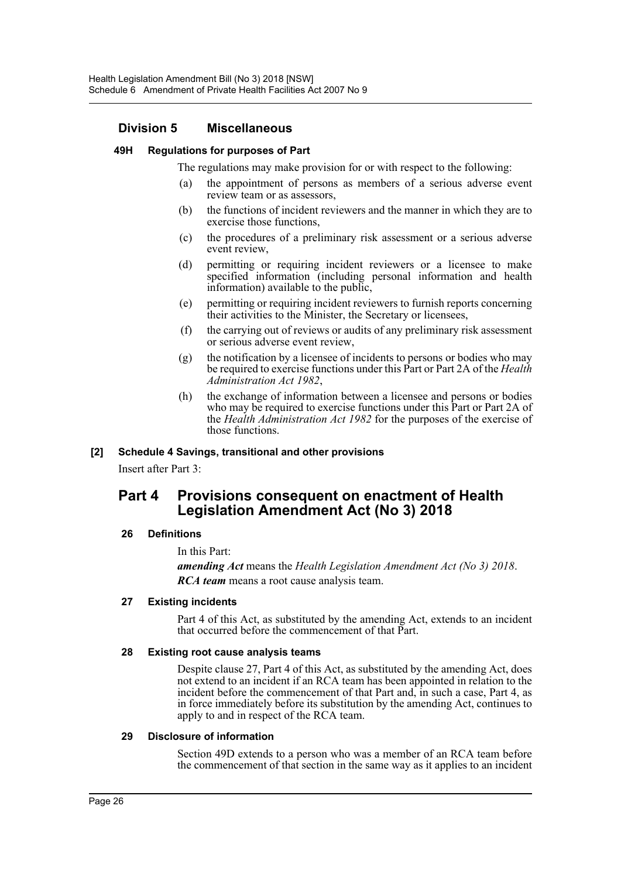# **Division 5 Miscellaneous**

#### **49H Regulations for purposes of Part**

The regulations may make provision for or with respect to the following:

- (a) the appointment of persons as members of a serious adverse event review team or as assessors,
- (b) the functions of incident reviewers and the manner in which they are to exercise those functions,
- (c) the procedures of a preliminary risk assessment or a serious adverse event review,
- (d) permitting or requiring incident reviewers or a licensee to make specified information (including personal information and health information) available to the public,
- (e) permitting or requiring incident reviewers to furnish reports concerning their activities to the Minister, the Secretary or licensees,
- (f) the carrying out of reviews or audits of any preliminary risk assessment or serious adverse event review,
- (g) the notification by a licensee of incidents to persons or bodies who may be required to exercise functions under this Part or Part 2A of the *Health Administration Act 1982*,
- (h) the exchange of information between a licensee and persons or bodies who may be required to exercise functions under this Part or Part 2A of the *Health Administration Act 1982* for the purposes of the exercise of those functions.

#### **[2] Schedule 4 Savings, transitional and other provisions**

Insert after Part 3:

# **Part 4 Provisions consequent on enactment of Health Legislation Amendment Act (No 3) 2018**

# **26 Definitions**

In this Part:

*amending Act* means the *Health Legislation Amendment Act (No 3) 2018*. *RCA team* means a root cause analysis team.

#### **27 Existing incidents**

Part 4 of this Act, as substituted by the amending Act, extends to an incident that occurred before the commencement of that Part.

#### **28 Existing root cause analysis teams**

Despite clause 27, Part 4 of this Act, as substituted by the amending Act, does not extend to an incident if an RCA team has been appointed in relation to the incident before the commencement of that Part and, in such a case, Part 4, as in force immediately before its substitution by the amending Act, continues to apply to and in respect of the RCA team.

#### **29 Disclosure of information**

Section 49D extends to a person who was a member of an RCA team before the commencement of that section in the same way as it applies to an incident